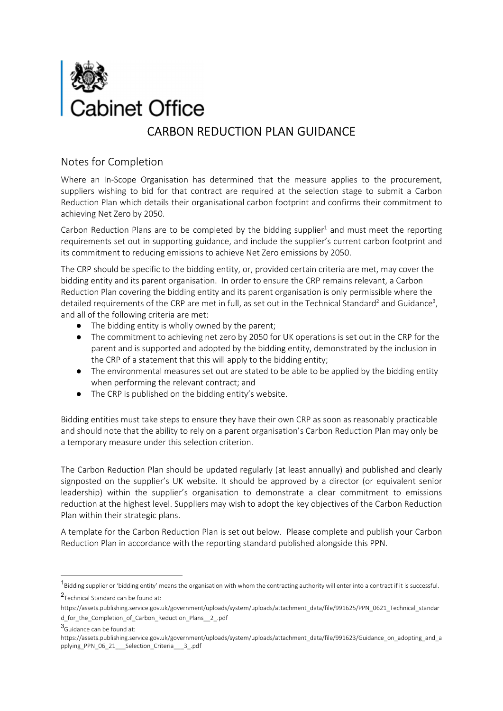

#### Notes for Completion

Where an In-Scope Organisation has determined that the measure applies to the procurement, suppliers wishing to bid for that contract are required at the selection stage to submit a Carbon Reduction Plan which details their organisational carbon footprint and confirms their commitment to achieving Net Zero by 2050.

Carbon Reduction Plans are to be completed by the bidding supplier $1$  and must meet the reporting requirements set out in supporting guidance, and include the supplier's current carbon footprint and its commitment to reducing emissions to achieve Net Zero emissions by 2050.

The CRP should be specific to the bidding entity, or, provided certain criteria are met, may cover the bidding entity and its parent organisation. In order to ensure the CRP remains relevant, a Carbon Reduction Plan covering the bidding entity and its parent organisation is only permissible where the detailed requirements of the CRP are met in full, as set out in the Technical Standard<sup>2</sup> and Guidance<sup>3</sup>, and all of the following criteria are met:

- The bidding entity is wholly owned by the parent;
- The commitment to achieving net zero by 2050 for UK operations is set out in the CRP for the parent and is supported and adopted by the bidding entity, demonstrated by the inclusion in the CRP of a statement that this will apply to the bidding entity;
- The environmental measures set out are stated to be able to be applied by the bidding entity when performing the relevant contract; and
- The CRP is published on the bidding entity's website.

Bidding entities must take steps to ensure they have their own CRP as soon as reasonably practicable and should note that the ability to rely on a parent organisation's Carbon Reduction Plan may only be a temporary measure under this selection criterion.

The Carbon Reduction Plan should be updated regularly (at least annually) and published and clearly signposted on the supplier's UK website. It should be approved by a director (or equivalent senior leadership) within the supplier's organisation to demonstrate a clear commitment to emissions reduction at the highest level. Suppliers may wish to adopt the key objectives of the Carbon Reduction Plan within their strategic plans.

A template for the Carbon Reduction Plan is set out below. Please complete and publish your Carbon Reduction Plan in accordance with the reporting standard published alongside this PPN.

<sup>&</sup>lt;sup>1</sup>Bidding supplier or 'bidding entity' means the organisation with whom the contracting authority will enter into a contract if it is successful. 2 Technical Standard can be found at:

https://assets.publishing.service.gov.uk/government/uploads/system/uploads/attachment\_data/file/991625/PPN\_0621\_Technical\_standar d for the Completion of Carbon Reduction Plans 2 .pdf

<sup>3</sup>Guidance can be found at:

https://assets.publishing.service.gov.uk/government/uploads/system/uploads/attachment\_data/file/991623/Guidance\_on\_adopting\_and\_a pplying\_PPN\_06\_21\_\_\_Selection\_Criteria\_\_\_3\_.pdf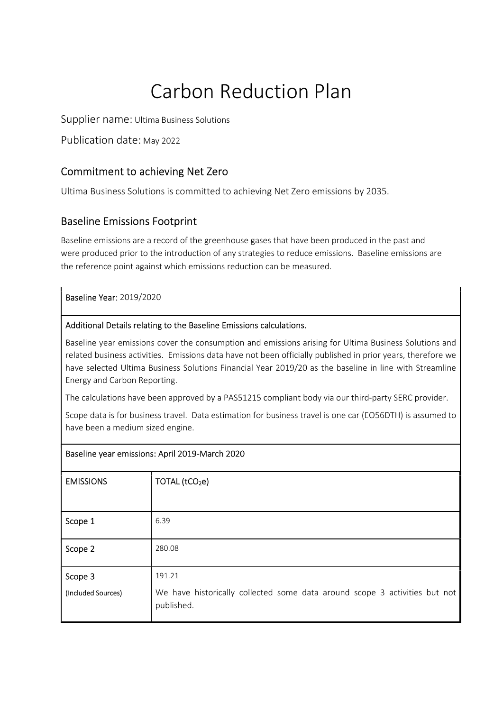# Carbon Reduction Plan

Supplier name: Ultima Business Solutions

Publication date: May 2022

# Commitment to achieving Net Zero

Ultima Business Solutions is committed to achieving Net Zero emissions by 2035.

# Baseline Emissions Footprint

Baseline emissions are a record of the greenhouse gases that have been produced in the past and were produced prior to the introduction of any strategies to reduce emissions. Baseline emissions are the reference point against which emissions reduction can be measured.

Baseline Year: 2019/2020

#### Additional Details relating to the Baseline Emissions calculations.

Baseline year emissions cover the consumption and emissions arising for Ultima Business Solutions and related business activities. Emissions data have not been officially published in prior years, therefore we have selected Ultima Business Solutions Financial Year 2019/20 as the baseline in line with Streamline Energy and Carbon Reporting.

The calculations have been approved by a PAS51215 compliant body via our third-party SERC provider.

Scope data is for business travel. Data estimation for business travel is one car (EO56DTH) is assumed to have been a medium sized engine.

| Baseline year emissions: April 2019-March 2020 |                                                                                          |
|------------------------------------------------|------------------------------------------------------------------------------------------|
| <b>EMISSIONS</b>                               | TOTAL (tCO <sub>2</sub> e)                                                               |
|                                                |                                                                                          |
| Scope 1                                        | 6.39                                                                                     |
| Scope 2                                        | 280.08                                                                                   |
| Scope 3                                        | 191.21                                                                                   |
| (Included Sources)                             | We have historically collected some data around scope 3 activities but not<br>published. |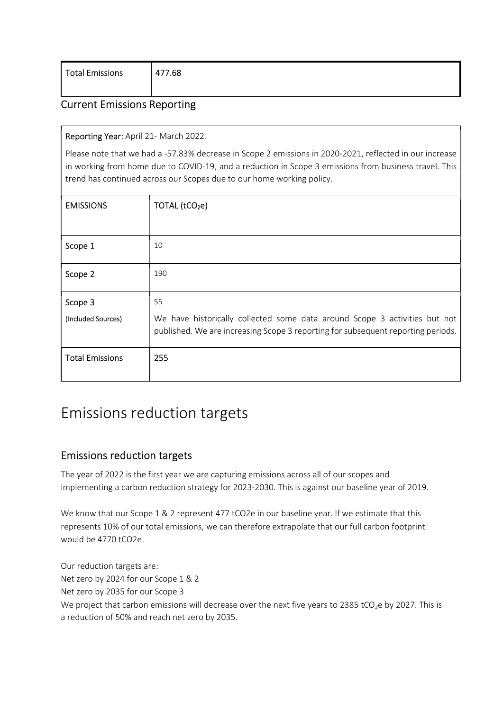| Total Emissions<br>477.68 |
|---------------------------|
|---------------------------|

# Current Emissions Reporting

#### Reporting Year: April 21- March 2022.

Please note that we had a -57.83% decrease in Scope 2 emissions in 2020-2021, reflected in our increase in working from home due to COVID-19, and a reduction in Scope 3 emissions from business travel. This trend has continued across our Scopes due to our home working policy.

| <b>EMISSIONS</b>       | TOTAL (tCO <sub>2</sub> e)                                                                                                                                     |
|------------------------|----------------------------------------------------------------------------------------------------------------------------------------------------------------|
|                        |                                                                                                                                                                |
| Scope 1                | 10                                                                                                                                                             |
| Scope 2                | 190                                                                                                                                                            |
| Scope 3                | 55                                                                                                                                                             |
| (Included Sources)     | We have historically collected some data around Scope 3 activities but not<br>published. We are increasing Scope 3 reporting for subsequent reporting periods. |
| <b>Total Emissions</b> | 255                                                                                                                                                            |

# Emissions reduction targets

## Emissions reduction targets

The year of 2022 is the first year we are capturing emissions across all of our scopes and implementing a carbon reduction strategy for 2023-2030. This is against our baseline year of 2019.

We know that our Scope 1 & 2 represent 477 tCO2e in our baseline year. If we estimate that this represents 10% of our total emissions, we can therefore extrapolate that our full carbon footprint would be 4770 tCO2e.

Our reduction targets are: Net zero by 2024 for our Scope 1 & 2 Net zero by 2035 for our Scope 3 We project that carbon emissions will decrease over the next five years to 2385 tCO<sub>2</sub>e by 2027. This is a reduction of 50% and reach net zero by 2035.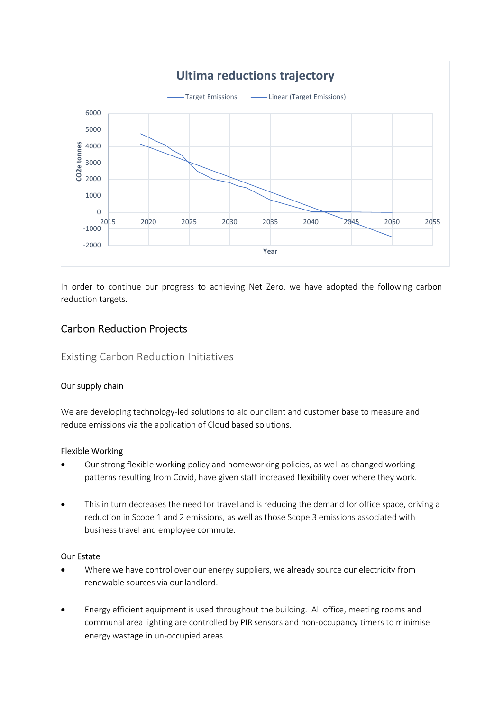

In order to continue our progress to achieving Net Zero, we have adopted the following carbon reduction targets.

# Carbon Reduction Projects

#### Existing Carbon Reduction Initiatives

#### Our supply chain

We are developing technology-led solutions to aid our client and customer base to measure and reduce emissions via the application of Cloud based solutions.

#### Flexible Working

- Our strong flexible working policy and homeworking policies, as well as changed working patterns resulting from Covid, have given staff increased flexibility over where they work.
- This in turn decreases the need for travel and is reducing the demand for office space, driving a reduction in Scope 1 and 2 emissions, as well as those Scope 3 emissions associated with business travel and employee commute.

#### Our Estate

- Where we have control over our energy suppliers, we already source our electricity from renewable sources via our landlord.
- Energy efficient equipment is used throughout the building. All office, meeting rooms and communal area lighting are controlled by PIR sensors and non-occupancy timers to minimise energy wastage in un-occupied areas.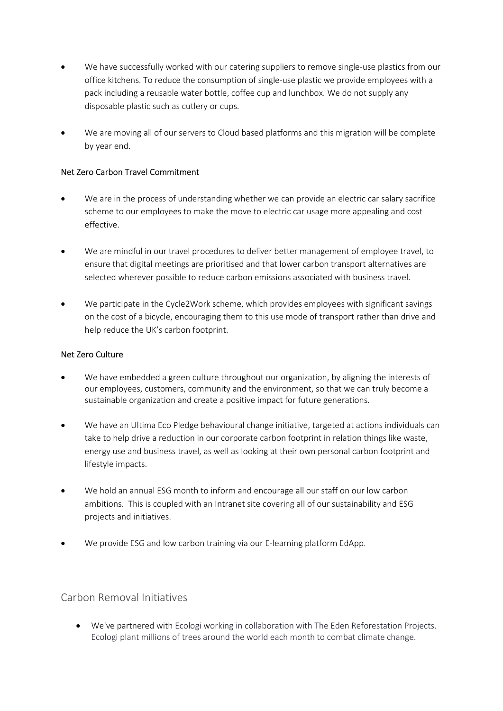- We have successfully worked with our catering suppliers to remove single-use plastics from our office kitchens. To reduce the consumption of single-use plastic we provide employees with a pack including a reusable water bottle, coffee cup and lunchbox. We do not supply any disposable plastic such as cutlery or cups.
- We are moving all of our servers to Cloud based platforms and this migration will be complete by year end.

#### Net Zero Carbon Travel Commitment

- We are in the process of understanding whether we can provide an electric car salary sacrifice scheme to our employees to make the move to electric car usage more appealing and cost effective.
- We are mindful in our travel procedures to deliver better management of employee travel, to ensure that digital meetings are prioritised and that lower carbon transport alternatives are selected wherever possible to reduce carbon emissions associated with business travel.
- We participate in the Cycle2Work scheme, which provides employees with significant savings on the cost of a bicycle, encouraging them to this use mode of transport rather than drive and help reduce the UK's carbon footprint.

#### Net Zero Culture

- We have embedded a green culture throughout our organization, by aligning the interests of our employees, customers, community and the environment, so that we can truly become a sustainable organization and create a positive impact for future generations.
- We have an Ultima Eco Pledge behavioural change initiative, targeted at actions individuals can take to help drive a reduction in our corporate carbon footprint in relation things like waste, energy use and business travel, as well as looking at their own personal carbon footprint and lifestyle impacts.
- We hold an annual ESG month to inform and encourage all our staff on our low carbon ambitions. This is coupled with an Intranet site covering all of our sustainability and ESG projects and initiatives.
- We provide ESG and low carbon training via our E-learning platform EdApp.

#### Carbon Removal Initiatives

 We've partnered with Ecologi working in collaboration with The Eden Reforestation Projects. Ecologi plant millions of trees around the world each month to combat climate change.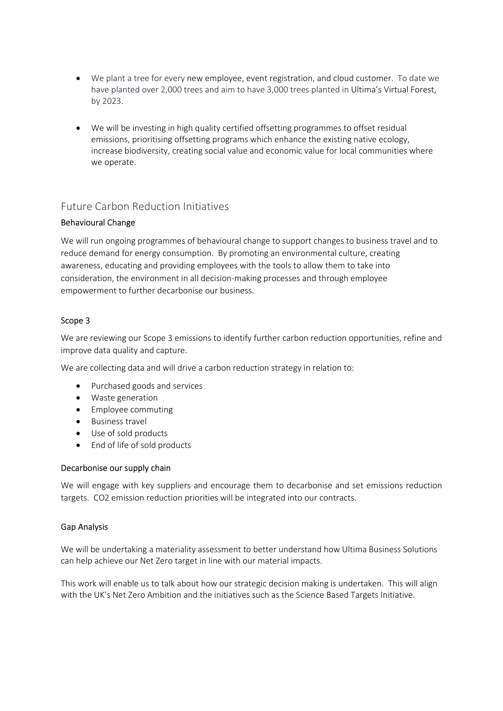- We plant a tree for every new employee, event registration, and cloud customer. To date we have planted over 2,000 trees and aim to have 3,000 trees planted in Ultima's Virtual Forest, by 2023.
- We will be investing in high quality certified offsetting programmes to offset residual emissions, prioritising offsetting programs which enhance the existing native ecology, increase biodiversity, creating social value and economic value for local communities where we operate.

### Future Carbon Reduction Initiatives

#### Behavioural Change

We will run ongoing programmes of behavioural change to support changes to business travel and to reduce demand for energy consumption. By promoting an environmental culture, creating awareness, educating and providing employees with the tools to allow them to take into consideration, the environment in all decision-making processes and through employee empowerment to further decarbonise our business.

#### Scope 3

We are reviewing our Scope 3 emissions to identify further carbon reduction opportunities, refine and improve data quality and capture.

We are collecting data and will drive a carbon reduction strategy in relation to:

- Purchased goods and services
- Waste generation
- Employee commuting
- Business travel
- Use of sold products
- End of life of sold products

#### Decarbonise our supply chain

We will engage with key suppliers and encourage them to decarbonise and set emissions reduction targets. CO2 emission reduction priorities will be integrated into our contracts.

#### Gap Analysis

We will be undertaking a materiality assessment to better understand how Ultima Business Solutions can help achieve our Net Zero target in line with our material impacts.

This work will enable us to talk about how our strategic decision making is undertaken. This will align with the UK's Net Zero Ambition and the initiatives such as the Science Based Targets Initiative.